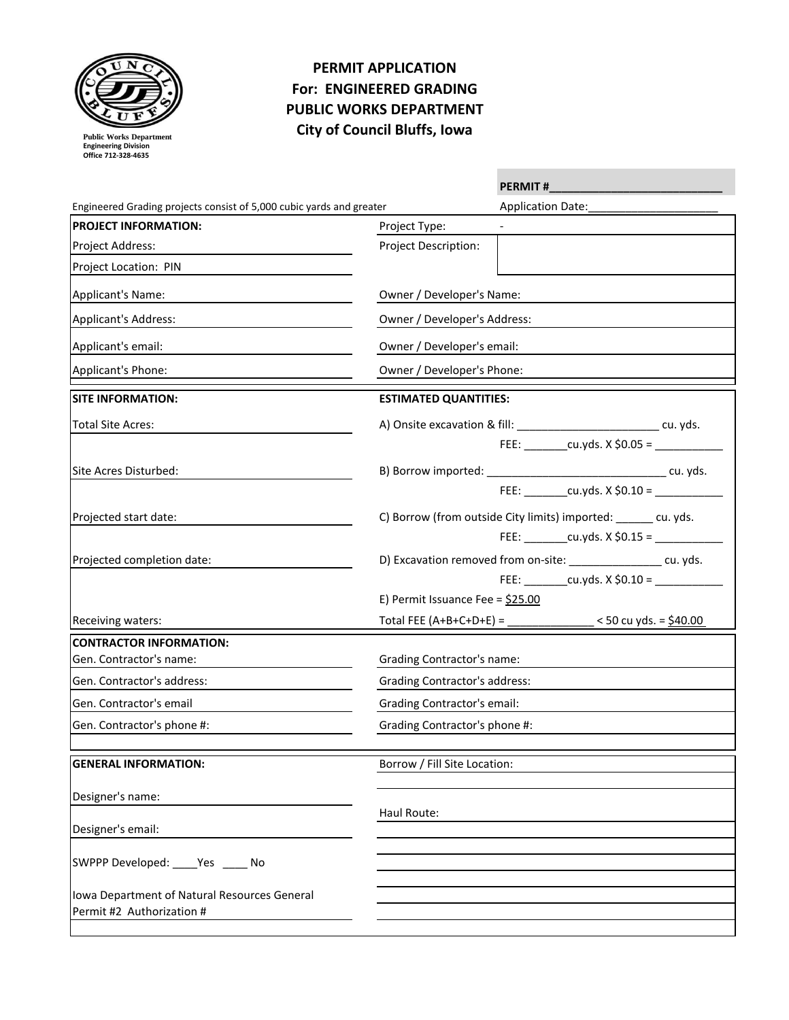

**Public Works Department Engineering Division Office 712-328-4635** 

## **PERMIT APPLICATION For: ENGINEERED GRADING PUBLIC WORKS DEPARTMENT City of Council Bluffs, Iowa**

|                                                                           |                                      | <b>PERMIT#</b>                                                             |  |  |
|---------------------------------------------------------------------------|--------------------------------------|----------------------------------------------------------------------------|--|--|
| Engineered Grading projects consist of 5,000 cubic yards and greater      |                                      | Application Date:                                                          |  |  |
| <b>PROJECT INFORMATION:</b>                                               | Project Type:                        |                                                                            |  |  |
| Project Address:                                                          | Project Description:                 |                                                                            |  |  |
| Project Location: PIN                                                     |                                      |                                                                            |  |  |
| Applicant's Name:                                                         | Owner / Developer's Name:            |                                                                            |  |  |
| Applicant's Address:                                                      |                                      | Owner / Developer's Address:                                               |  |  |
| Applicant's email:                                                        | Owner / Developer's email:           |                                                                            |  |  |
| Applicant's Phone:                                                        | Owner / Developer's Phone:           |                                                                            |  |  |
| <b>SITE INFORMATION:</b>                                                  | <b>ESTIMATED QUANTITIES:</b>         |                                                                            |  |  |
| <b>Total Site Acres:</b>                                                  |                                      | A) Onsite excavation & fill: _______________________________ cu. yds.      |  |  |
|                                                                           |                                      | FEE: $cu.yds. X $0.05 =$                                                   |  |  |
| Site Acres Disturbed:                                                     |                                      |                                                                            |  |  |
|                                                                           |                                      | FEE: $cu.yds. X $0.10 =$                                                   |  |  |
| Projected start date:                                                     |                                      | C) Borrow (from outside City limits) imported: _____ cu. yds.              |  |  |
|                                                                           |                                      | FEE: _________cu.yds. X \$0.15 = ______________                            |  |  |
| Projected completion date:                                                |                                      | D) Excavation removed from on-site: _______________ cu. yds.               |  |  |
|                                                                           |                                      | FEE: __________ cu.yds. X \$0.10 = ____________                            |  |  |
|                                                                           | E) Permit Issuance Fee = $$25.00$    |                                                                            |  |  |
| Receiving waters:                                                         |                                      | Total FEE (A+B+C+D+E) = ________________ < 50 cu yds. = $\frac{$40.00}{2}$ |  |  |
| <b>CONTRACTOR INFORMATION:</b>                                            |                                      |                                                                            |  |  |
| Gen. Contractor's name:                                                   |                                      | <b>Grading Contractor's name:</b>                                          |  |  |
| Gen. Contractor's address:                                                | <b>Grading Contractor's address:</b> |                                                                            |  |  |
| Gen. Contractor's email                                                   |                                      | <b>Grading Contractor's email:</b>                                         |  |  |
| Gen. Contractor's phone #:                                                |                                      | Grading Contractor's phone #:                                              |  |  |
|                                                                           |                                      |                                                                            |  |  |
| <b>GENERAL INFORMATION:</b>                                               | Borrow / Fill Site Location:         |                                                                            |  |  |
| Designer's name:                                                          |                                      |                                                                            |  |  |
|                                                                           | Haul Route:                          |                                                                            |  |  |
| Designer's email:                                                         |                                      |                                                                            |  |  |
| SWPPP Developed: _____ Yes ______ No                                      |                                      |                                                                            |  |  |
|                                                                           |                                      |                                                                            |  |  |
| Iowa Department of Natural Resources General<br>Permit #2 Authorization # |                                      |                                                                            |  |  |
|                                                                           |                                      |                                                                            |  |  |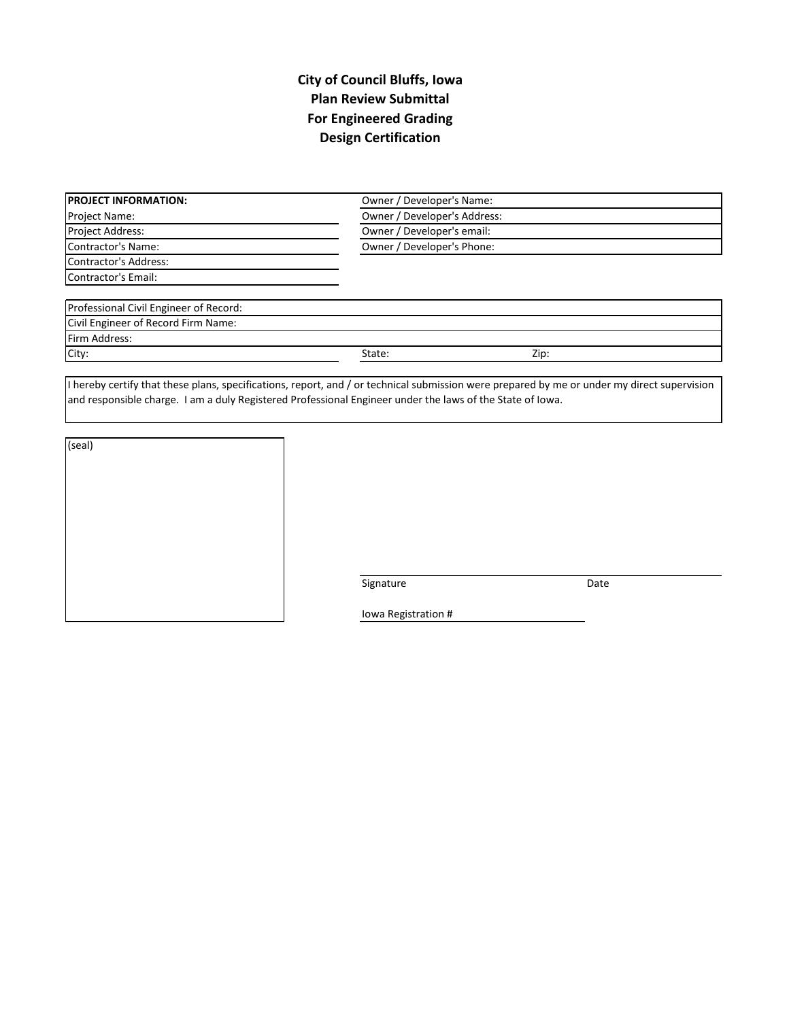## **City of Council Bluffs, Iowa Plan Review Submittal For Engineered Grading Design Certification**

| <b>PROJECT INFORMATION:</b>            |                            | Owner / Developer's Name:    |  |  |  |
|----------------------------------------|----------------------------|------------------------------|--|--|--|
| Project Name:                          |                            | Owner / Developer's Address: |  |  |  |
| Project Address:                       |                            | Owner / Developer's email:   |  |  |  |
| Contractor's Name:                     | Owner / Developer's Phone: |                              |  |  |  |
| Contractor's Address:                  |                            |                              |  |  |  |
| Contractor's Email:                    |                            |                              |  |  |  |
| Professional Civil Engineer of Record: |                            |                              |  |  |  |
| Civil Engineer of Record Firm Name:    |                            |                              |  |  |  |
| Firm Address:                          |                            |                              |  |  |  |
| City:                                  | State:                     | Zip:                         |  |  |  |

I hereby certify that these plans, specifications, report, and / or technical submission were prepared by me or under my direct supervision and responsible charge. I am a duly Registered Professional Engineer under the laws of the State of Iowa.

| (seal) |  |  |  |
|--------|--|--|--|
|        |  |  |  |
|        |  |  |  |
|        |  |  |  |
|        |  |  |  |
|        |  |  |  |
|        |  |  |  |

Signature Date

Iowa Registration #